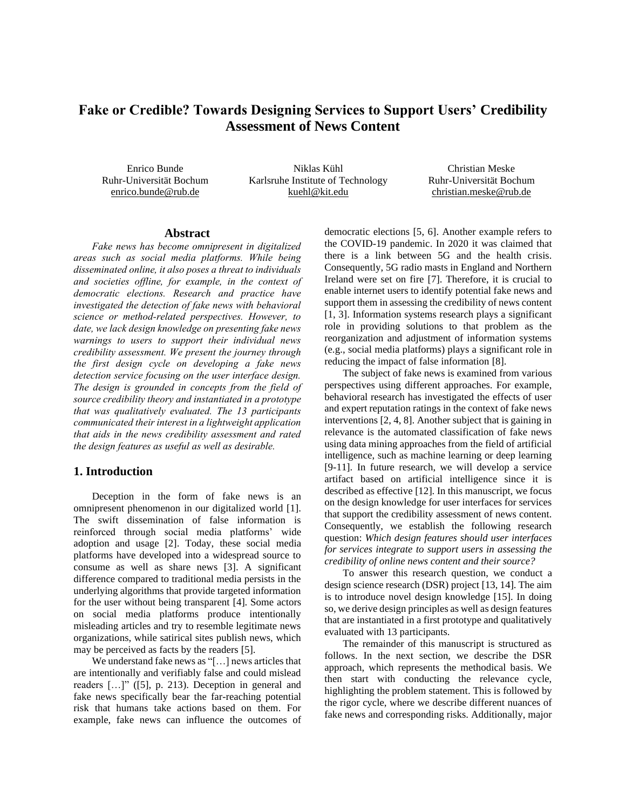# **Fake or Credible? Towards Designing Services to Support Users' Credibility Assessment of News Content**

Enrico Bunde Ruhr-Universität Bochum enrico.bunde@rub.de

Niklas Kühl Karlsruhe Institute of Technology kuehl@kit.edu

Christian Meske Ruhr-Universität Bochum christian.meske@rub.de

### **Abstract**

*Fake news has become omnipresent in digitalized areas such as social media platforms. While being disseminated online, it also poses a threat to individuals and societies offline, for example, in the context of democratic elections. Research and practice have investigated the detection of fake news with behavioral science or method-related perspectives. However, to date, we lack design knowledge on presenting fake news warnings to users to support their individual news credibility assessment. We present the journey through the first design cycle on developing a fake news detection service focusing on the user interface design. The design is grounded in concepts from the field of source credibility theory and instantiated in a prototype that was qualitatively evaluated. The 13 participants communicated their interest in a lightweight application that aids in the news credibility assessment and rated the design features as useful as well as desirable.*

# **1. Introduction**

Deception in the form of fake news is an omnipresent phenomenon in our digitalized world [1]. The swift dissemination of false information is reinforced through social media platforms' wide adoption and usage [2]. Today, these social media platforms have developed into a widespread source to consume as well as share news [3]. A significant difference compared to traditional media persists in the underlying algorithms that provide targeted information for the user without being transparent [4]. Some actors on social media platforms produce intentionally misleading articles and try to resemble legitimate news organizations, while satirical sites publish news, which may be perceived as facts by the readers [5].

We understand fake news as "[…] news articles that are intentionally and verifiably false and could mislead readers […]" ([5], p. 213). Deception in general and fake news specifically bear the far-reaching potential risk that humans take actions based on them. For example, fake news can influence the outcomes of

democratic elections [5, 6]. Another example refers to the COVID-19 pandemic. In 2020 it was claimed that there is a link between 5G and the health crisis. Consequently, 5G radio masts in England and Northern Ireland were set on fire [7]. Therefore, it is crucial to enable internet users to identify potential fake news and support them in assessing the credibility of news content [1, 3]. Information systems research plays a significant role in providing solutions to that problem as the reorganization and adjustment of information systems (e.g., social media platforms) plays a significant role in reducing the impact of false information [8].

The subject of fake news is examined from various perspectives using different approaches. For example, behavioral research has investigated the effects of user and expert reputation ratings in the context of fake news interventions [2, 4, 8]. Another subject that is gaining in relevance is the automated classification of fake news using data mining approaches from the field of artificial intelligence, such as machine learning or deep learning [9-11]. In future research, we will develop a service artifact based on artificial intelligence since it is described as effective [12]. In this manuscript, we focus on the design knowledge for user interfaces for services that support the credibility assessment of news content. Consequently, we establish the following research question: *Which design features should user interfaces for services integrate to support users in assessing the credibility of online news content and their source?*

To answer this research question, we conduct a design science research (DSR) project [13, 14]. The aim is to introduce novel design knowledge [15]. In doing so, we derive design principles as well as design features that are instantiated in a first prototype and qualitatively evaluated with 13 participants.

The remainder of this manuscript is structured as follows. In the next section, we describe the DSR approach, which represents the methodical basis. We then start with conducting the relevance cycle, highlighting the problem statement. This is followed by the rigor cycle, where we describe different nuances of fake news and corresponding risks. Additionally, major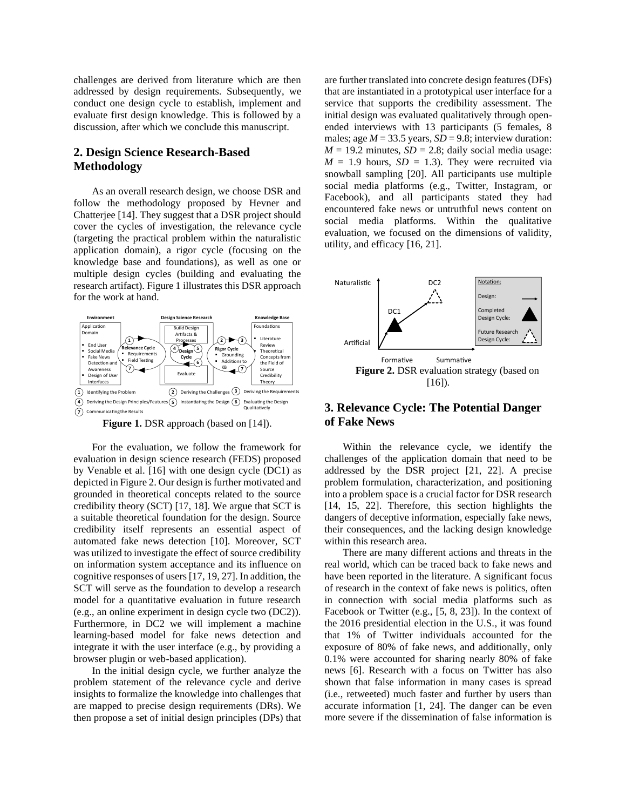challenges are derived from literature which are then addressed by design requirements. Subsequently, we conduct one design cycle to establish, implement and evaluate first design knowledge. This is followed by a discussion, after which we conclude this manuscript.

# **2. Design Science Research-Based Methodology**

As an overall research design, we choose DSR and follow the methodology proposed by Hevner and Chatterjee [14]. They suggest that a DSR project should cover the cycles of investigation, the relevance cycle (targeting the practical problem within the naturalistic application domain), a rigor cycle (focusing on the knowledge base and foundations), as well as one or multiple design cycles (building and evaluating the research artifact). Figure 1 illustrates this DSR approach for the work at hand.



**Figure 1.** DSR approach (based on [14]).

For the evaluation, we follow the framework for evaluation in design science research (FEDS) proposed by Venable et al. [16] with one design cycle (DC1) as depicted in Figure 2. Our design is further motivated and grounded in theoretical concepts related to the source credibility theory (SCT) [17, 18]. We argue that SCT is a suitable theoretical foundation for the design. Source credibility itself represents an essential aspect of automated fake news detection [10]. Moreover, SCT was utilized to investigate the effect of source credibility on information system acceptance and its influence on cognitive responses of users [17, 19, 27]. In addition, the SCT will serve as the foundation to develop a research model for a quantitative evaluation in future research (e.g., an online experiment in design cycle two (DC2)). Furthermore, in DC2 we will implement a machine learning-based model for fake news detection and integrate it with the user interface (e.g., by providing a browser plugin or web-based application).

In the initial design cycle, we further analyze the problem statement of the relevance cycle and derive insights to formalize the knowledge into challenges that are mapped to precise design requirements (DRs). We then propose a set of initial design principles (DPs) that

are further translated into concrete design features (DFs) that are instantiated in a prototypical user interface for a service that supports the credibility assessment. The initial design was evaluated qualitatively through openended interviews with 13 participants (5 females, 8 males; age  $M = 33.5$  years,  $SD = 9.8$ ; interview duration:  $M = 19.2$  minutes,  $SD = 2.8$ ; daily social media usage:  $M = 1.9$  hours,  $SD = 1.3$ ). They were recruited via snowball sampling [20]. All participants use multiple social media platforms (e.g., Twitter, Instagram, or Facebook), and all participants stated they had encountered fake news or untruthful news content on social media platforms. Within the qualitative evaluation, we focused on the dimensions of validity, utility, and efficacy [16, 21].



# **3. Relevance Cycle: The Potential Danger of Fake News**

Within the relevance cycle, we identify the challenges of the application domain that need to be addressed by the DSR project [21, 22]. A precise problem formulation, characterization, and positioning into a problem space is a crucial factor for DSR research [14, 15, 22]. Therefore, this section highlights the dangers of deceptive information, especially fake news, their consequences, and the lacking design knowledge within this research area.

There are many different actions and threats in the real world, which can be traced back to fake news and have been reported in the literature. A significant focus of research in the context of fake news is politics, often in connection with social media platforms such as Facebook or Twitter (e.g., [5, 8, 23]). In the context of the 2016 presidential election in the U.S., it was found that 1% of Twitter individuals accounted for the exposure of 80% of fake news, and additionally, only 0.1% were accounted for sharing nearly 80% of fake news [6]. Research with a focus on Twitter has also shown that false information in many cases is spread (i.e., retweeted) much faster and further by users than accurate information [1, 24]. The danger can be even more severe if the dissemination of false information is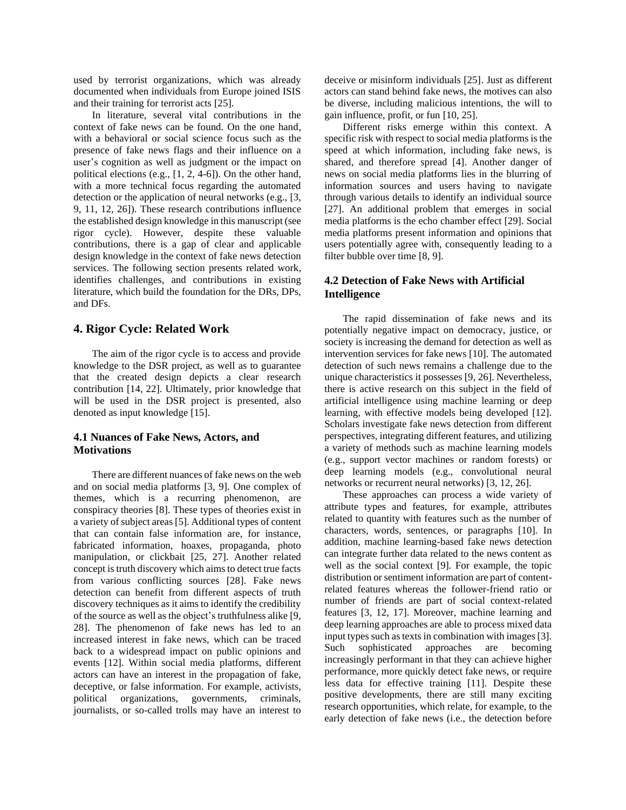used by terrorist organizations, which was already documented when individuals from Europe joined ISIS and their training for terrorist acts [25].

In literature, several vital contributions in the context of fake news can be found. On the one hand, with a behavioral or social science focus such as the presence of fake news flags and their influence on a user's cognition as well as judgment or the impact on political elections (e.g., [1, 2, 4-6]). On the other hand, with a more technical focus regarding the automated detection or the application of neural networks (e.g., [3, 9, 11, 12, 26]). These research contributions influence the established design knowledge in this manuscript (see rigor cycle). However, despite these valuable contributions, there is a gap of clear and applicable design knowledge in the context of fake news detection services. The following section presents related work, identifies challenges, and contributions in existing literature, which build the foundation for the DRs, DPs, and DFs.

#### **4. Rigor Cycle: Related Work**

The aim of the rigor cycle is to access and provide knowledge to the DSR project, as well as to guarantee that the created design depicts a clear research contribution [14, 22]. Ultimately, prior knowledge that will be used in the DSR project is presented, also denoted as input knowledge [15].

### **4.1 Nuances of Fake News, Actors, and Motivations**

There are different nuances of fake news on the web and on social media platforms [3, 9]. One complex of themes, which is a recurring phenomenon, are conspiracy theories [8]. These types of theories exist in a variety of subject areas [5]. Additional types of content that can contain false information are, for instance, fabricated information, hoaxes, propaganda, photo manipulation, or clickbait [25, 27]. Another related concept istruth discovery which aims to detect true facts from various conflicting sources [28]. Fake news detection can benefit from different aspects of truth discovery techniques as it aims to identify the credibility of the source as well as the object's truthfulness alike [9, 28]. The phenomenon of fake news has led to an increased interest in fake news, which can be traced back to a widespread impact on public opinions and events [12]. Within social media platforms, different actors can have an interest in the propagation of fake, deceptive, or false information. For example, activists, political organizations, governments, criminals, journalists, or so-called trolls may have an interest to

deceive or misinform individuals [25]. Just as different actors can stand behind fake news, the motives can also be diverse, including malicious intentions, the will to gain influence, profit, or fun [10, 25].

Different risks emerge within this context. A specific risk with respect to social media platforms is the speed at which information, including fake news, is shared, and therefore spread [4]. Another danger of news on social media platforms lies in the blurring of information sources and users having to navigate through various details to identify an individual source [27]. An additional problem that emerges in social media platforms is the echo chamber effect [29]. Social media platforms present information and opinions that users potentially agree with, consequently leading to a filter bubble over time [8, 9].

# **4.2 Detection of Fake News with Artificial Intelligence**

The rapid dissemination of fake news and its potentially negative impact on democracy, justice, or society is increasing the demand for detection as well as intervention services for fake news [10]. The automated detection of such news remains a challenge due to the unique characteristics it possesses [9, 26]. Nevertheless, there is active research on this subject in the field of artificial intelligence using machine learning or deep learning, with effective models being developed [12]. Scholars investigate fake news detection from different perspectives, integrating different features, and utilizing a variety of methods such as machine learning models (e.g., support vector machines or random forests) or deep learning models (e.g., convolutional neural networks or recurrent neural networks) [3, 12, 26].

These approaches can process a wide variety of attribute types and features, for example, attributes related to quantity with features such as the number of characters, words, sentences, or paragraphs [10]. In addition, machine learning-based fake news detection can integrate further data related to the news content as well as the social context [9]. For example, the topic distribution or sentiment information are part of contentrelated features whereas the follower-friend ratio or number of friends are part of social context-related features [3, 12, 17]. Moreover, machine learning and deep learning approaches are able to process mixed data input types such as texts in combination with images [3]. Such sophisticated approaches are becoming increasingly performant in that they can achieve higher performance, more quickly detect fake news, or require less data for effective training [11]. Despite these positive developments, there are still many exciting research opportunities, which relate, for example, to the early detection of fake news (i.e., the detection before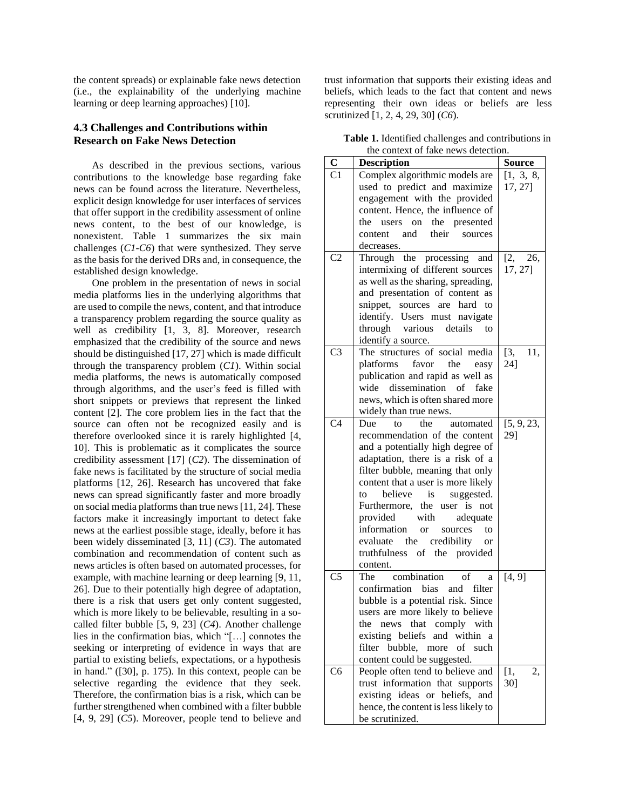the content spreads) or explainable fake news detection (i.e., the explainability of the underlying machine learning or deep learning approaches) [10].

### **4.3 Challenges and Contributions within Research on Fake News Detection**

As described in the previous sections, various contributions to the knowledge base regarding fake news can be found across the literature. Nevertheless, explicit design knowledge for user interfaces of services that offer support in the credibility assessment of online news content, to the best of our knowledge, is nonexistent. Table 1 summarizes the six main challenges (*C1-C6*) that were synthesized. They serve as the basis for the derived DRs and, in consequence, the established design knowledge.

One problem in the presentation of news in social media platforms lies in the underlying algorithms that are used to compile the news, content, and that introduce a transparency problem regarding the source quality as well as credibility [1, 3, 8]. Moreover, research emphasized that the credibility of the source and news should be distinguished [17, 27] which is made difficult through the transparency problem (*C1*). Within social media platforms, the news is automatically composed through algorithms, and the user's feed is filled with short snippets or previews that represent the linked content [2]. The core problem lies in the fact that the source can often not be recognized easily and is therefore overlooked since it is rarely highlighted [4, 10]. This is problematic as it complicates the source credibility assessment [17] (*C2*). The dissemination of fake news is facilitated by the structure of social media platforms [12, 26]. Research has uncovered that fake news can spread significantly faster and more broadly on social media platforms than true news [11, 24]. These factors make it increasingly important to detect fake news at the earliest possible stage, ideally, before it has been widely disseminated [3, 11] (*C3*). The automated combination and recommendation of content such as news articles is often based on automated processes, for example, with machine learning or deep learning [9, 11, 26]. Due to their potentially high degree of adaptation, there is a risk that users get only content suggested, which is more likely to be believable, resulting in a socalled filter bubble [5, 9, 23] (*C4*). Another challenge lies in the confirmation bias, which "[…] connotes the seeking or interpreting of evidence in ways that are partial to existing beliefs, expectations, or a hypothesis in hand." ([30], p. 175). In this context, people can be selective regarding the evidence that they seek. Therefore, the confirmation bias is a risk, which can be further strengthened when combined with a filter bubble [4, 9, 29] (*C5*). Moreover, people tend to believe and

trust information that supports their existing ideas and beliefs, which leads to the fact that content and news representing their own ideas or beliefs are less scrutinized [1, 2, 4, 29, 30] (*C6*).

**Table 1.** Identified challenges and contributions in the context of fake news detection.

|                | the comext of take news detection.     |               |
|----------------|----------------------------------------|---------------|
| $\mathbf C$    | <b>Description</b>                     | <b>Source</b> |
| C <sub>1</sub> | Complex algorithmic models are         | [1, 3, 8,     |
|                | used to predict and maximize           | 17, 27]       |
|                | engagement with the provided           |               |
|                | content. Hence, the influence of       |               |
|                | on the presented<br>the<br>users       |               |
|                | their<br>and<br>content<br>sources     |               |
|                | decreases.                             |               |
| C <sub>2</sub> | Through the processing and             | [2, 26,       |
|                | intermixing of different sources       | 17, 27]       |
|                |                                        |               |
|                | as well as the sharing, spreading,     |               |
|                | and presentation of content as         |               |
|                | snippet, sources<br>are hard<br>to     |               |
|                | identify. Users must navigate          |               |
|                | through various<br>details<br>to       |               |
|                | identify a source.                     |               |
| C <sub>3</sub> | The structures of social media         | [3,<br>11,    |
|                | platforms favor<br>the<br>easy         | 24]           |
|                | publication and rapid as well as       |               |
|                | wide dissemination of fake             |               |
|                | news, which is often shared more       |               |
|                | widely than true news.                 |               |
| C <sub>4</sub> | the<br>Due<br>automated<br>to          | [5, 9, 23,    |
|                | recommendation of the content          | 29]           |
|                | and a potentially high degree of       |               |
|                | adaptation, there is a risk of a       |               |
|                |                                        |               |
|                | filter bubble, meaning that only       |               |
|                | content that a user is more likely     |               |
|                | believe<br>to<br>is<br>suggested.      |               |
|                | Furthermore, the user is not           |               |
|                | provided<br>with<br>adequate           |               |
|                | information or<br>sources<br>to        |               |
|                | the credibility<br>evaluate<br>or      |               |
|                | truthfulness of the provided           |               |
|                | content.                               |               |
| C <sub>5</sub> | combination of<br>The<br>a             | [4, 9]        |
|                | bias<br>confirmation<br>and<br>filter  |               |
|                | bubble is a potential risk. Since      |               |
|                | users are more likely to believe       |               |
|                | that<br>the<br>news<br>comply<br>with  |               |
|                | existing beliefs<br>and<br>within<br>a |               |
|                | filter<br>bubble, more<br>of such      |               |
|                |                                        |               |
|                | content could be suggested.            |               |
| C <sub>6</sub> | People often tend to believe and       | [1,<br>2,     |
|                | trust information that supports        | 30]           |
|                | existing ideas or beliefs, and         |               |
|                | hence, the content is less likely to   |               |
|                | be scrutinized.                        |               |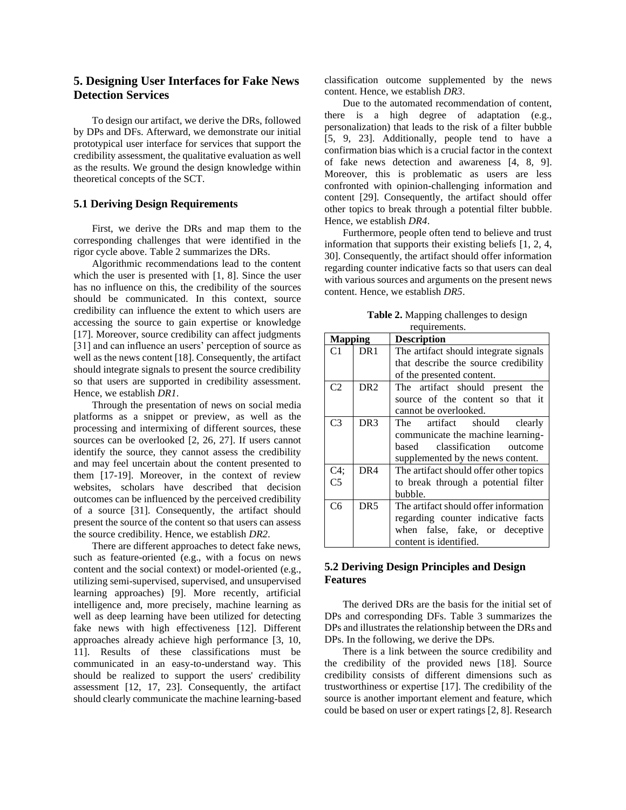# **5. Designing User Interfaces for Fake News Detection Services**

To design our artifact, we derive the DRs, followed by DPs and DFs. Afterward, we demonstrate our initial prototypical user interface for services that support the credibility assessment, the qualitative evaluation as well as the results. We ground the design knowledge within theoretical concepts of the SCT.

#### **5.1 Deriving Design Requirements**

First, we derive the DRs and map them to the corresponding challenges that were identified in the rigor cycle above. Table 2 summarizes the DRs.

Algorithmic recommendations lead to the content which the user is presented with [1, 8]. Since the user has no influence on this, the credibility of the sources should be communicated. In this context, source credibility can influence the extent to which users are accessing the source to gain expertise or knowledge [17]. Moreover, source credibility can affect judgments [31] and can influence an users' perception of source as well as the news content [18]. Consequently, the artifact should integrate signals to present the source credibility so that users are supported in credibility assessment. Hence, we establish *DR1*.

Through the presentation of news on social media platforms as a snippet or preview, as well as the processing and intermixing of different sources, these sources can be overlooked [2, 26, 27]. If users cannot identify the source, they cannot assess the credibility and may feel uncertain about the content presented to them [17-19]. Moreover, in the context of review websites, scholars have described that decision outcomes can be influenced by the perceived credibility of a source [31]. Consequently, the artifact should present the source of the content so that users can assess the source credibility. Hence, we establish *DR2*.

There are different approaches to detect fake news, such as feature-oriented (e.g., with a focus on news content and the social context) or model-oriented (e.g., utilizing semi-supervised, supervised, and unsupervised learning approaches) [9]. More recently, artificial intelligence and, more precisely, machine learning as well as deep learning have been utilized for detecting fake news with high effectiveness [12]. Different approaches already achieve high performance [3, 10, 11]. Results of these classifications must be communicated in an easy-to-understand way. This should be realized to support the users' credibility assessment [12, 17, 23]. Consequently, the artifact should clearly communicate the machine learning-based

classification outcome supplemented by the news content. Hence, we establish *DR3*.

Due to the automated recommendation of content, there is a high degree of adaptation (e.g., personalization) that leads to the risk of a filter bubble [5, 9, 23]. Additionally, people tend to have a confirmation bias which is a crucial factor in the context of fake news detection and awareness [4, 8, 9]. Moreover, this is problematic as users are less confronted with opinion-challenging information and content [29]. Consequently, the artifact should offer other topics to break through a potential filter bubble. Hence, we establish *DR4*.

Furthermore, people often tend to believe and trust information that supports their existing beliefs [1, 2, 4, 30]. Consequently, the artifact should offer information regarding counter indicative facts so that users can deal with various sources and arguments on the present news content. Hence, we establish *DR5*.

| <b>Table 2.</b> Mapping challenges to design |
|----------------------------------------------|
| requirements.                                |

| <b>Mapping</b> |                 | <b>Description</b>                     |
|----------------|-----------------|----------------------------------------|
| C1             | DR <sub>1</sub> | The artifact should integrate signals  |
|                |                 | that describe the source credibility   |
|                |                 | of the presented content.              |
| C <sub>2</sub> | DR <sub>2</sub> | The artifact should present the        |
|                |                 | source of the content so that it       |
|                |                 | cannot be overlooked.                  |
| C <sub>3</sub> | DR <sub>3</sub> | The artifact should clearly            |
|                |                 | communicate the machine learning-      |
|                |                 | based classification<br>outcome        |
|                |                 | supplemented by the news content.      |
| C4;            | DR4             | The artifact should offer other topics |
| C <sub>5</sub> |                 | to break through a potential filter    |
|                |                 | bubble.                                |
| C <sub>6</sub> | DR <sub>5</sub> | The artifact should offer information  |
|                |                 | regarding counter indicative facts     |
|                |                 | when false, fake, or deceptive         |
|                |                 | content is identified.                 |

# **5.2 Deriving Design Principles and Design Features**

The derived DRs are the basis for the initial set of DPs and corresponding DFs. Table 3 summarizes the DPs and illustrates the relationship between the DRs and DPs. In the following, we derive the DPs.

There is a link between the source credibility and the credibility of the provided news [18]. Source credibility consists of different dimensions such as trustworthiness or expertise [17]. The credibility of the source is another important element and feature, which could be based on user or expert ratings [2, 8]. Research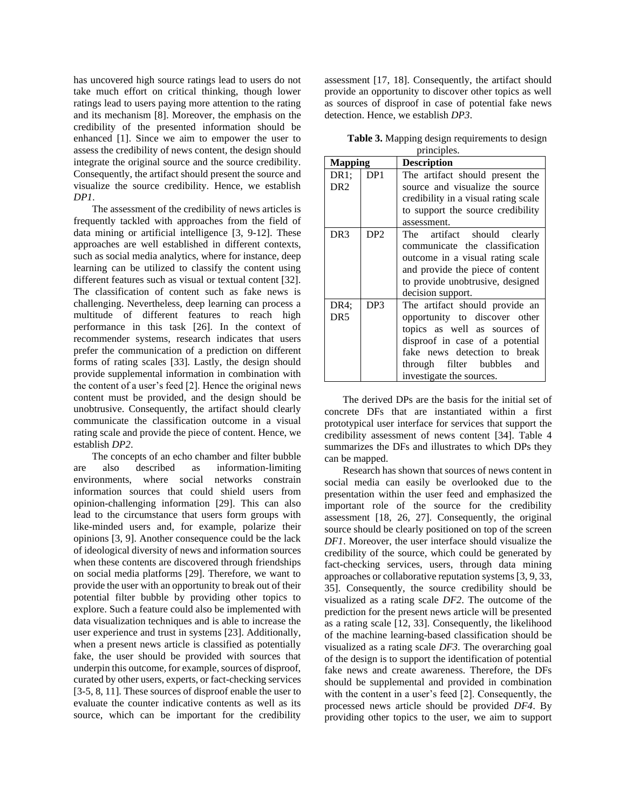has uncovered high source ratings lead to users do not take much effort on critical thinking, though lower ratings lead to users paying more attention to the rating and its mechanism [8]. Moreover, the emphasis on the credibility of the presented information should be enhanced [1]. Since we aim to empower the user to assess the credibility of news content, the design should integrate the original source and the source credibility. Consequently, the artifact should present the source and visualize the source credibility. Hence, we establish *DP1*.

The assessment of the credibility of news articles is frequently tackled with approaches from the field of data mining or artificial intelligence [3, 9-12]. These approaches are well established in different contexts, such as social media analytics, where for instance, deep learning can be utilized to classify the content using different features such as visual or textual content [32]. The classification of content such as fake news is challenging. Nevertheless, deep learning can process a multitude of different features to reach high performance in this task [26]. In the context of recommender systems, research indicates that users prefer the communication of a prediction on different forms of rating scales [33]. Lastly, the design should provide supplemental information in combination with the content of a user's feed [2]. Hence the original news content must be provided, and the design should be unobtrusive. Consequently, the artifact should clearly communicate the classification outcome in a visual rating scale and provide the piece of content. Hence, we establish *DP2*.

The concepts of an echo chamber and filter bubble are also described as information-limiting environments, where social networks constrain information sources that could shield users from opinion-challenging information [29]. This can also lead to the circumstance that users form groups with like-minded users and, for example, polarize their opinions [3, 9]. Another consequence could be the lack of ideological diversity of news and information sources when these contents are discovered through friendships on social media platforms [29]. Therefore, we want to provide the user with an opportunity to break out of their potential filter bubble by providing other topics to explore. Such a feature could also be implemented with data visualization techniques and is able to increase the user experience and trust in systems [23]. Additionally, when a present news article is classified as potentially fake, the user should be provided with sources that underpin this outcome, for example, sources of disproof, curated by other users, experts, or fact-checking services [3-5, 8, 11]. These sources of disproof enable the user to evaluate the counter indicative contents as well as its source, which can be important for the credibility

assessment [17, 18]. Consequently, the artifact should provide an opportunity to discover other topics as well as sources of disproof in case of potential fake news detection. Hence, we establish *DP3*.

**Table 3.** Mapping design requirements to design principles

| <b>Mapping</b>  |                 | <b>Description</b>                   |
|-----------------|-----------------|--------------------------------------|
| DR1:            | DP <sub>1</sub> | The artifact should present the      |
| DR <sub>2</sub> |                 | source and visualize the source      |
|                 |                 | credibility in a visual rating scale |
|                 |                 | to support the source credibility    |
|                 |                 | assessment.                          |
| DR <sub>3</sub> | DP <sub>2</sub> | The artifact should clearly          |
|                 |                 | communicate the classification       |
|                 |                 | outcome in a visual rating scale     |
|                 |                 | and provide the piece of content     |
|                 |                 | to provide unobtrusive, designed     |
|                 |                 | decision support.                    |
| DR4:            | DP3             | The artifact should provide an       |
| DR <sub>5</sub> |                 | opportunity to discover other        |
|                 |                 | topics as well as sources of         |
|                 |                 | disproof in case of a potential      |
|                 |                 | fake news detection to break         |
|                 |                 | through filter bubbles<br>and        |
|                 |                 | investigate the sources.             |

The derived DPs are the basis for the initial set of concrete DFs that are instantiated within a first prototypical user interface for services that support the credibility assessment of news content [34]. Table 4 summarizes the DFs and illustrates to which DPs they can be mapped.

Research has shown that sources of news content in social media can easily be overlooked due to the presentation within the user feed and emphasized the important role of the source for the credibility assessment [18, 26, 27]. Consequently, the original source should be clearly positioned on top of the screen *DF1*. Moreover, the user interface should visualize the credibility of the source, which could be generated by fact-checking services, users, through data mining approaches or collaborative reputation systems [3, 9, 33, 35]. Consequently, the source credibility should be visualized as a rating scale *DF2*. The outcome of the prediction for the present news article will be presented as a rating scale [12, 33]. Consequently, the likelihood of the machine learning-based classification should be visualized as a rating scale *DF3*. The overarching goal of the design is to support the identification of potential fake news and create awareness. Therefore, the DFs should be supplemental and provided in combination with the content in a user's feed [2]. Consequently, the processed news article should be provided *DF4*. By providing other topics to the user, we aim to support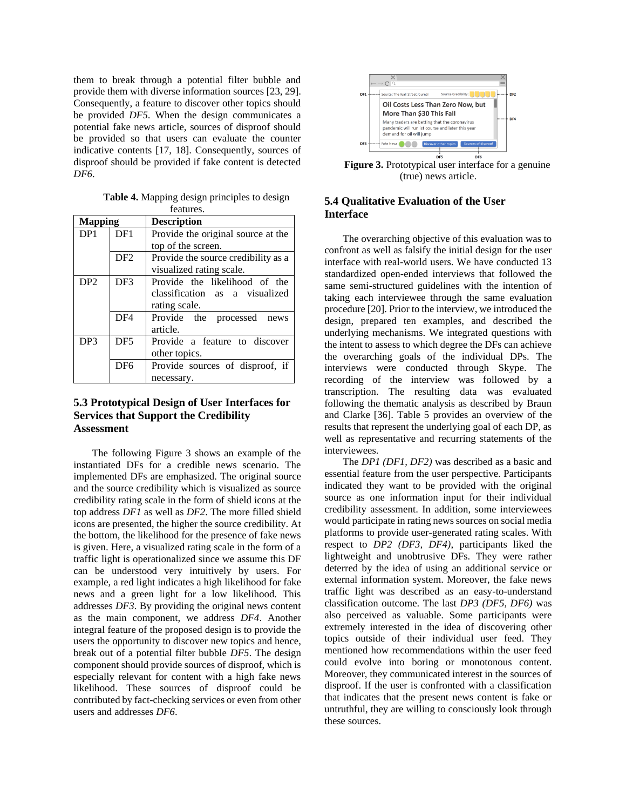them to break through a potential filter bubble and provide them with diverse information sources [23, 29]. Consequently, a feature to discover other topics should be provided *DF5*. When the design communicates a potential fake news article, sources of disproof should be provided so that users can evaluate the counter indicative contents [17, 18]. Consequently, sources of disproof should be provided if fake content is detected *DF6*.

**Table 4.** Mapping design principles to design features.

| <b>Mapping</b>                     |                 | <b>Description</b>                  |  |
|------------------------------------|-----------------|-------------------------------------|--|
| DP <sub>1</sub>                    | DF1             | Provide the original source at the  |  |
|                                    |                 | top of the screen.                  |  |
|                                    | DF <sub>2</sub> | Provide the source credibility as a |  |
|                                    |                 | visualized rating scale.            |  |
| DP <sub>2</sub>                    | DF3             | Provide the likelihood of the       |  |
|                                    |                 | classification as a visualized      |  |
|                                    |                 | rating scale.                       |  |
|                                    | DF <sub>4</sub> | Provide the processed<br>news       |  |
|                                    |                 | article.                            |  |
| DP <sub>3</sub><br>DF <sub>5</sub> |                 | Provide a feature to discover       |  |
|                                    |                 | other topics.                       |  |
|                                    | DF <sub>6</sub> | Provide sources of disproof, if     |  |
|                                    |                 | necessary.                          |  |

# **5.3 Prototypical Design of User Interfaces for Services that Support the Credibility Assessment**

The following Figure 3 shows an example of the instantiated DFs for a credible news scenario. The implemented DFs are emphasized. The original source and the source credibility which is visualized as source credibility rating scale in the form of shield icons at the top address *DF1* as well as *DF2*. The more filled shield icons are presented, the higher the source credibility. At the bottom, the likelihood for the presence of fake news is given. Here, a visualized rating scale in the form of a traffic light is operationalized since we assume this DF can be understood very intuitively by users. For example, a red light indicates a high likelihood for fake news and a green light for a low likelihood. This addresses *DF3*. By providing the original news content as the main component, we address *DF4*. Another integral feature of the proposed design is to provide the users the opportunity to discover new topics and hence, break out of a potential filter bubble *DF5*. The design component should provide sources of disproof, which is especially relevant for content with a high fake news likelihood. These sources of disproof could be contributed by fact-checking services or even from other users and addresses *DF6*.



**Figure 3.** Prototypical user interface for a genuine (true) news article.

# **5.4 Qualitative Evaluation of the User Interface**

The overarching objective of this evaluation was to confront as well as falsify the initial design for the user interface with real-world users. We have conducted 13 standardized open-ended interviews that followed the same semi-structured guidelines with the intention of taking each interviewee through the same evaluation procedure [20]. Prior to the interview, we introduced the design, prepared ten examples, and described the underlying mechanisms. We integrated questions with the intent to assess to which degree the DFs can achieve the overarching goals of the individual DPs. The interviews were conducted through Skype. The recording of the interview was followed by a transcription. The resulting data was evaluated following the thematic analysis as described by Braun and Clarke [36]. Table 5 provides an overview of the results that represent the underlying goal of each DP, as well as representative and recurring statements of the interviewees.

The *DP1 (DF1, DF2)* was described as a basic and essential feature from the user perspective. Participants indicated they want to be provided with the original source as one information input for their individual credibility assessment. In addition, some interviewees would participate in rating news sources on social media platforms to provide user-generated rating scales. With respect to *DP2 (DF3, DF4)*, participants liked the lightweight and unobtrusive DFs. They were rather deterred by the idea of using an additional service or external information system. Moreover, the fake news traffic light was described as an easy-to-understand classification outcome. The last *DP3 (DF5, DF6)* was also perceived as valuable. Some participants were extremely interested in the idea of discovering other topics outside of their individual user feed. They mentioned how recommendations within the user feed could evolve into boring or monotonous content. Moreover, they communicated interest in the sources of disproof. If the user is confronted with a classification that indicates that the present news content is fake or untruthful, they are willing to consciously look through these sources.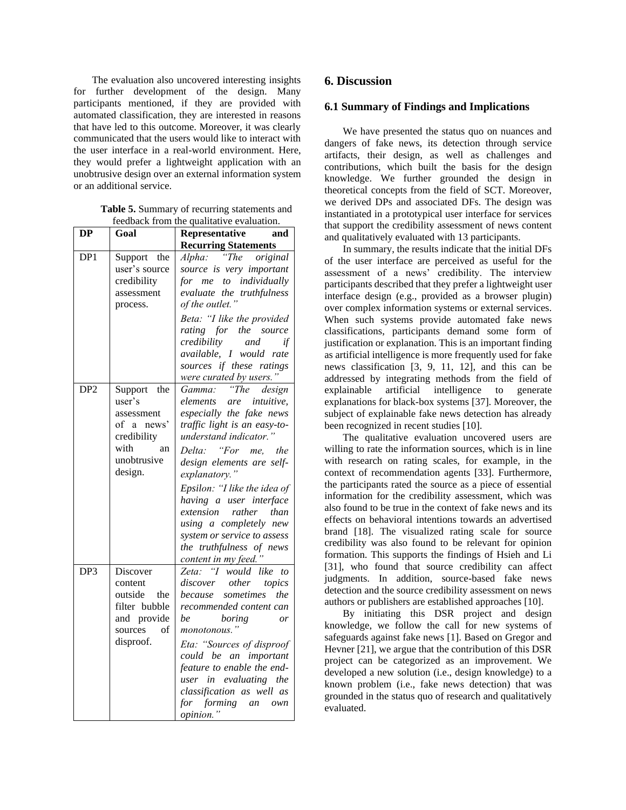The evaluation also uncovered interesting insights for further development of the design. Many participants mentioned, if they are provided with automated classification, they are interested in reasons that have led to this outcome. Moreover, it was clearly communicated that the users would like to interact with the user interface in a real-world environment. Here, they would prefer a lightweight application with an unobtrusive design over an external information system or an additional service.

**Table 5.** Summary of recurring statements and feedback from the qualitative evaluation.

| DP              | Goal                                                                                                     | Representative<br>and                                                                                                                                                                                                                                                                                                                                                                                                |
|-----------------|----------------------------------------------------------------------------------------------------------|----------------------------------------------------------------------------------------------------------------------------------------------------------------------------------------------------------------------------------------------------------------------------------------------------------------------------------------------------------------------------------------------------------------------|
|                 |                                                                                                          | <b>Recurring Statements</b>                                                                                                                                                                                                                                                                                                                                                                                          |
| DP1             | Support the<br>user's source<br>credibility<br>assessment<br>process.                                    | $\overline{r}$ The<br>Alpha:<br>original<br>source is very important<br>for me to individually<br>evaluate the truthfulness<br>of the outlet."<br>Beta: "I like the provided<br>rating for the source<br>credibility<br>and<br>if<br>available, I would rate<br>sources if these ratings<br>were curated by users."                                                                                                  |
| DP <sub>2</sub> | Support the<br>user's<br>assessment<br>of a news'<br>credibility<br>with<br>an<br>unobtrusive<br>design. | "The<br>Gamma:<br>design<br>elements are intuitive,<br>especially the fake news<br>traffic light is an easy-to-<br>understand indicator."<br>"For me, the<br>Delta:<br>design elements are self-<br>explanatory."<br>Epsilon: "I like the idea of<br>having a user interface<br>extension<br>rather than<br>using a completely new<br>system or service to assess<br>the truthfulness of news<br>content in my feed. |
| DP <sub>3</sub> | Discover<br>content<br>outside<br>the<br>filter bubble<br>and provide<br>sources<br>of<br>disproof.      | "I would like<br>Zeta:<br>to<br>discover other<br>topics<br>because<br>sometimes<br>the<br>recommended content can<br>be<br>boring<br>or<br>monotonous."<br>Eta: "Sources of disproof<br>could be an important<br>feature to enable the end-<br>user in evaluating the<br>classification as well as<br>for<br>forming<br>an own<br>opinion.<br>"                                                                     |

### **6. Discussion**

#### **6.1 Summary of Findings and Implications**

We have presented the status quo on nuances and dangers of fake news, its detection through service artifacts, their design, as well as challenges and contributions, which built the basis for the design knowledge. We further grounded the design in theoretical concepts from the field of SCT. Moreover, we derived DPs and associated DFs. The design was instantiated in a prototypical user interface for services that support the credibility assessment of news content and qualitatively evaluated with 13 participants.

In summary, the results indicate that the initial DFs of the user interface are perceived as useful for the assessment of a news' credibility. The interview participants described that they prefer a lightweight user interface design (e.g., provided as a browser plugin) over complex information systems or external services. When such systems provide automated fake news classifications, participants demand some form of justification or explanation. This is an important finding as artificial intelligence is more frequently used for fake news classification [3, 9, 11, 12], and this can be addressed by integrating methods from the field of explainable artificial intelligence to generate explanations for black-box systems [37]. Moreover, the subject of explainable fake news detection has already been recognized in recent studies [10].

The qualitative evaluation uncovered users are willing to rate the information sources, which is in line with research on rating scales, for example, in the context of recommendation agents [33]. Furthermore, the participants rated the source as a piece of essential information for the credibility assessment, which was also found to be true in the context of fake news and its effects on behavioral intentions towards an advertised brand [18]. The visualized rating scale for source credibility was also found to be relevant for opinion formation. This supports the findings of Hsieh and Li [31], who found that source credibility can affect judgments. In addition, source-based fake news detection and the source credibility assessment on news authors or publishers are established approaches [10].

By initiating this DSR project and design knowledge, we follow the call for new systems of safeguards against fake news [1]. Based on Gregor and Hevner [21], we argue that the contribution of this DSR project can be categorized as an improvement. We developed a new solution (i.e., design knowledge) to a known problem (i.e., fake news detection) that was grounded in the status quo of research and qualitatively evaluated.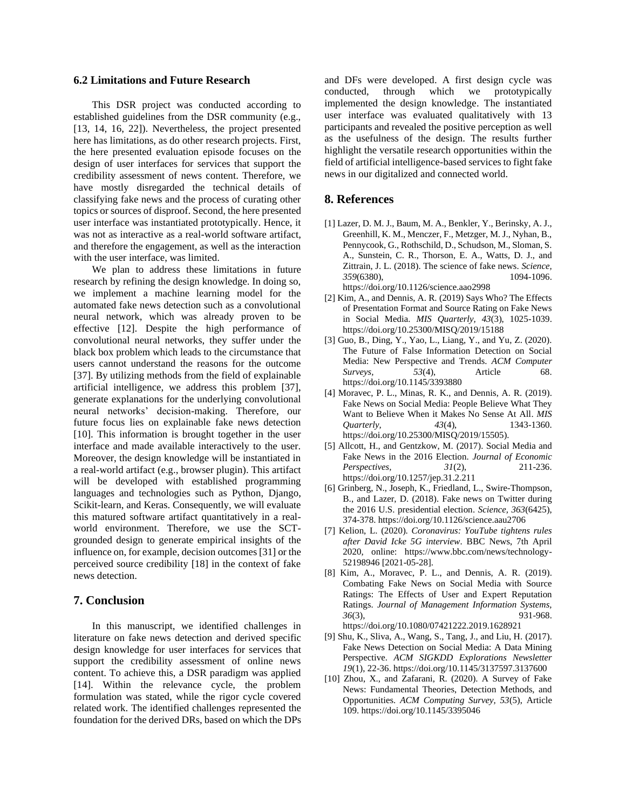#### **6.2 Limitations and Future Research**

This DSR project was conducted according to established guidelines from the DSR community (e.g., [13, 14, 16, 22]). Nevertheless, the project presented here has limitations, as do other research projects. First, the here presented evaluation episode focuses on the design of user interfaces for services that support the credibility assessment of news content. Therefore, we have mostly disregarded the technical details of classifying fake news and the process of curating other topics or sources of disproof. Second, the here presented user interface was instantiated prototypically. Hence, it was not as interactive as a real-world software artifact, and therefore the engagement, as well as the interaction with the user interface, was limited.

We plan to address these limitations in future research by refining the design knowledge. In doing so, we implement a machine learning model for the automated fake news detection such as a convolutional neural network, which was already proven to be effective [12]. Despite the high performance of convolutional neural networks, they suffer under the black box problem which leads to the circumstance that users cannot understand the reasons for the outcome [37]. By utilizing methods from the field of explainable artificial intelligence, we address this problem [37], generate explanations for the underlying convolutional neural networks' decision-making. Therefore, our future focus lies on explainable fake news detection [10]. This information is brought together in the user interface and made available interactively to the user. Moreover, the design knowledge will be instantiated in a real-world artifact (e.g., browser plugin). This artifact will be developed with established programming languages and technologies such as Python, Django, Scikit-learn, and Keras. Consequently, we will evaluate this matured software artifact quantitatively in a realworld environment. Therefore, we use the SCTgrounded design to generate empirical insights of the influence on, for example, decision outcomes [31] or the perceived source credibility [18] in the context of fake news detection.

#### **7. Conclusion**

In this manuscript, we identified challenges in literature on fake news detection and derived specific design knowledge for user interfaces for services that support the credibility assessment of online news content. To achieve this, a DSR paradigm was applied [14]. Within the relevance cycle, the problem formulation was stated, while the rigor cycle covered related work. The identified challenges represented the foundation for the derived DRs, based on which the DPs

and DFs were developed. A first design cycle was conducted, through which we prototypically implemented the design knowledge. The instantiated user interface was evaluated qualitatively with 13 participants and revealed the positive perception as well as the usefulness of the design. The results further highlight the versatile research opportunities within the field of artificial intelligence-based services to fight fake news in our digitalized and connected world.

#### **8. References**

- [1] Lazer, D. M. J., Baum, M. A., Benkler, Y., Berinsky, A. J., Greenhill, K. M., Menczer, F., Metzger, M. J., Nyhan, B., Pennycook, G., Rothschild, D., Schudson, M., Sloman, S. A., Sunstein, C. R., Thorson, E. A., Watts, D. J., and Zittrain, J. L. (2018). The science of fake news. *Science, 359*(6380), 1094-1096. https://doi.org/10.1126/science.aao2998
- [2] Kim, A., and Dennis, A. R. (2019) Says Who? The Effects of Presentation Format and Source Rating on Fake News in Social Media. *MIS Quarterly, 43*(3), 1025-1039. https://doi.org/10.25300/MISQ/2019/15188
- [3] Guo, B., Ding, Y., Yao, L., Liang, Y., and Yu, Z. (2020). The Future of False Information Detection on Social Media: New Perspective and Trends. *ACM Computer Surveys, 53*(4), Article 68. https://doi.org/10.1145/3393880
- [4] Moravec, P. L., Minas, R. K., and Dennis, A. R. (2019). Fake News on Social Media: People Believe What They Want to Believe When it Makes No Sense At All. *MIS Quarterly,* 43(4), 1343-1360. https://doi.org/10.25300/MISQ/2019/15505).
- [5] Allcott, H., and Gentzkow, M. (2017). Social Media and Fake News in the 2016 Election. *Journal of Economic Perspectives, 31*(2), 211-236. https://doi.org/10.1257/jep.31.2.211
- [6] Grinberg, N., Joseph, K., Friedland, L., Swire-Thompson, B., and Lazer, D. (2018). Fake news on Twitter during the 2016 U.S. presidential election. *Science, 363*(6425), 374-378. https://doi.org/10.1126/science.aau2706
- [7] Kelion, L. (2020). *Coronavirus: YouTube tightens rules after David Icke 5G interview*. BBC News, 7th April 2020, online: https://www.bbc.com/news/technology-52198946 [2021-05-28].
- [8] Kim, A., Moravec, P. L., and Dennis, A. R. (2019). Combating Fake News on Social Media with Source Ratings: The Effects of User and Expert Reputation Ratings. *Journal of Management Information Systems, 36*(3), 931-968. https://doi.org/10.1080/07421222.2019.1628921
- [9] Shu, K., Sliva, A., Wang, S., Tang, J., and Liu, H. (2017). Fake News Detection on Social Media: A Data Mining Perspective. *ACM SIGKDD Explorations Newsletter 19*(1), 22-36. https://doi.org/10.1145/3137597.3137600
- [10] Zhou, X., and Zafarani, R. (2020). A Survey of Fake News: Fundamental Theories, Detection Methods, and Opportunities. *ACM Computing Survey, 53*(5), Article 109. https://doi.org/10.1145/3395046